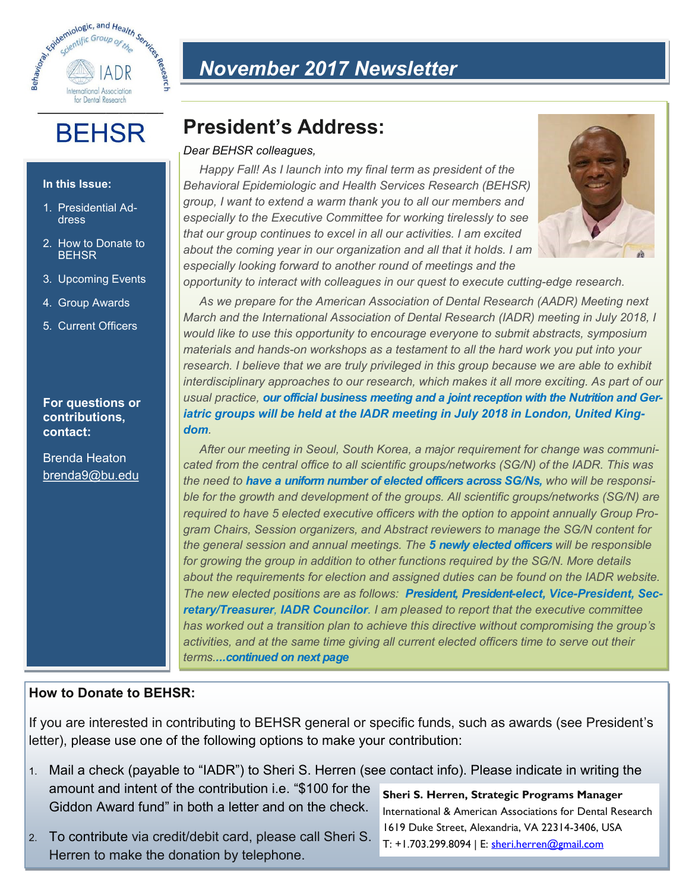

**BEHSR** 

**In this Issue:**

1. Presidential Address

2. How to Donate to BEHSR

3. Upcoming Events

4. Group Awards

5. Current Officers

**For questions or contributions,** 

Brenda Heaton brenda9@bu.edu

**contact:**

# *November 2017 Newsletter*

# **President's Address:**

#### *Dear BEHSR colleagues,*

*Happy Fall! As I launch into my final term as president of the Behavioral Epidemiologic and Health Services Research (BEHSR) group, I want to extend a warm thank you to all our members and especially to the Executive Committee for working tirelessly to see that our group continues to excel in all our activities. I am excited about the coming year in our organization and all that it holds. I am especially looking forward to another round of meetings and the* 



*opportunity to interact with colleagues in our quest to execute cutting-edge research.* 

*As we prepare for the American Association of Dental Research (AADR) Meeting next March and the International Association of Dental Research (IADR) meeting in July 2018, I would like to use this opportunity to encourage everyone to submit abstracts, symposium materials and hands-on workshops as a testament to all the hard work you put into your*  research. I believe that we are truly privileged in this group because we are able to exhibit *interdisciplinary approaches to our research, which makes it all more exciting. As part of our usual practice, our official business meeting and a joint reception with the Nutrition and Geriatric groups will be held at the IADR meeting in July 2018 in London, United Kingdom.* 

*After our meeting in Seoul, South Korea, a major requirement for change was communicated from the central office to all scientific groups/networks (SG/N) of the IADR. This was the need to have a uniform number of elected officers across SG/Ns, who will be responsible for the growth and development of the groups. All scientific groups/networks (SG/N) are required to have 5 elected executive officers with the option to appoint annually Group Program Chairs, Session organizers, and Abstract reviewers to manage the SG/N content for the general session and annual meetings. The 5 newly elected officers will be responsible for growing the group in addition to other functions required by the SG/N. More details about the requirements for election and assigned duties can be found on the IADR website. The new elected positions are as follows: President, President-elect, Vice-President, Secretary/Treasurer, IADR Councilor. I am pleased to report that the executive committee has worked out a transition plan to achieve this directive without compromising the group's activities, and at the same time giving all current elected officers time to serve out their terms....continued on next page*

### **How to Donate to BEHSR:**

If you are interested in contributing to BEHSR general or specific funds, such as awards (see President's letter), please use one of the following options to make your contribution:

- 1. Mail a check (payable to "IADR") to Sheri S. Herren (see contact info). Please indicate in writing the amount and intent of the contribution i.e. "\$100 for the Giddon Award fund" in both a letter and on the check. **Sheri S. Herren, Strategic Programs Manager**
- 2. To contribute via credit/debit card, please call Sheri S. Herren to make the donation by telephone.

International & American Associations for Dental Research 1619 Duke Street, Alexandria, VA 22314-3406, USA T: +1.703.299.8094 | E: [sheri.herren@gmail.com](mailto:sheri.herren@gmail.com)